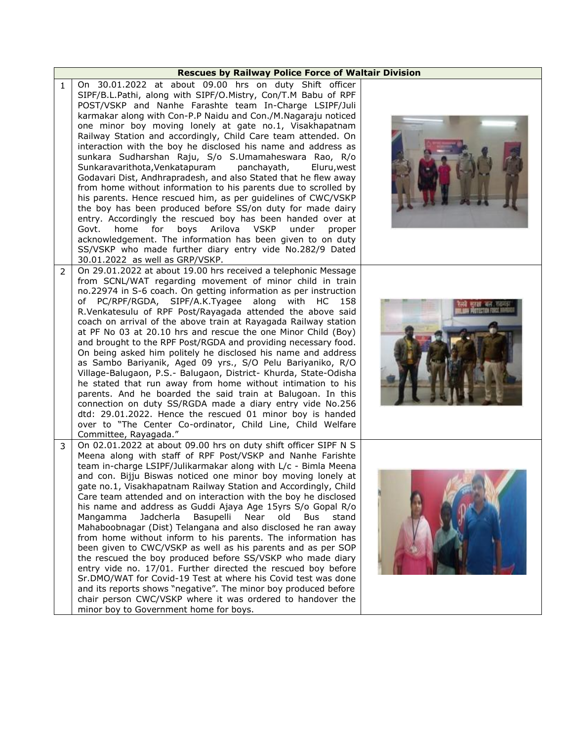| <b>Rescues by Railway Police Force of Waltair Division</b> |                                                                                                                                                                                                                                                                                                                                                                                                                                                                                                                                                                                                                                                                                                                                                                                                                                                                                                                                                                                                                                                                                                                                       |  |
|------------------------------------------------------------|---------------------------------------------------------------------------------------------------------------------------------------------------------------------------------------------------------------------------------------------------------------------------------------------------------------------------------------------------------------------------------------------------------------------------------------------------------------------------------------------------------------------------------------------------------------------------------------------------------------------------------------------------------------------------------------------------------------------------------------------------------------------------------------------------------------------------------------------------------------------------------------------------------------------------------------------------------------------------------------------------------------------------------------------------------------------------------------------------------------------------------------|--|
| $\mathbf{1}$<br>Govt.                                      | On 30.01.2022 at about 09.00 hrs on duty Shift officer<br>SIPF/B.L.Pathi, along with SIPF/O.Mistry, Con/T.M Babu of RPF<br>POST/VSKP and Nanhe Farashte team In-Charge LSIPF/Juli<br>karmakar along with Con-P.P Naidu and Con./M.Nagaraju noticed<br>one minor boy moving lonely at gate no.1, Visakhapatnam<br>Railway Station and accordingly, Child Care team attended. On<br>interaction with the boy he disclosed his name and address as<br>sunkara Sudharshan Raju, S/o S.Umamaheswara Rao, R/o<br>Sunkaravarithota, Venkatapuram<br>panchayath,<br>Eluru, west<br>Godavari Dist, Andhrapradesh, and also Stated that he flew away<br>from home without information to his parents due to scrolled by<br>his parents. Hence rescued him, as per guidelines of CWC/VSKP<br>the boy has been produced before SS/on duty for made dairy<br>entry. Accordingly the rescued boy has been handed over at<br>home for<br>boys Arilova<br><b>VSKP</b><br>under<br>proper<br>acknowledgement. The information has been given to on duty<br>SS/VSKP who made further diary entry vide No.282/9 Dated<br>30.01.2022 as well as GRP/VSKP. |  |
| 2<br>of                                                    | On 29.01.2022 at about 19.00 hrs received a telephonic Message<br>from SCNL/WAT regarding movement of minor child in train<br>no.22974 in S-6 coach. On getting information as per instruction<br>PC/RPF/RGDA, SIPF/A.K.Tyagee along<br>with HC<br>158<br>R.Venkatesulu of RPF Post/Rayagada attended the above said<br>coach on arrival of the above train at Rayagada Railway station<br>at PF No 03 at 20.10 hrs and rescue the one Minor Child (Boy)<br>and brought to the RPF Post/RGDA and providing necessary food.<br>On being asked him politely he disclosed his name and address<br>as Sambo Bariyanik, Aged 09 yrs., S/O Pelu Bariyaniko, R/O<br>Village-Balugaon, P.S.- Balugaon, District- Khurda, State-Odisha<br>he stated that run away from home without intimation to his<br>parents. And he boarded the said train at Balugoan. In this<br>connection on duty SS/RGDA made a diary entry vide No.256<br>dtd: 29.01.2022. Hence the rescued 01 minor boy is handed<br>over to "The Center Co-ordinator, Child Line, Child Welfare<br>Committee, Rayagada."                                                         |  |
| 3                                                          | On 02.01.2022 at about 09.00 hrs on duty shift officer SIPF N S<br>Meena along with staff of RPF Post/VSKP and Nanhe Farishte<br>team in-charge LSIPF/Julikarmakar along with L/c - Bimla Meena<br>and con. Bijju Biswas noticed one minor boy moving lonely at<br>gate no.1, Visakhapatnam Railway Station and Accordingly, Child<br>Care team attended and on interaction with the boy he disclosed<br>his name and address as Guddi Ajaya Age 15yrs S/o Gopal R/o<br>Jadcherla<br>Basupelli Near<br>Mangamma<br>old<br>Bus<br>stand<br>Mahaboobnagar (Dist) Telangana and also disclosed he ran away<br>from home without inform to his parents. The information has<br>been given to CWC/VSKP as well as his parents and as per SOP<br>the rescued the boy produced before SS/VSKP who made diary<br>entry vide no. 17/01. Further directed the rescued boy before<br>Sr.DMO/WAT for Covid-19 Test at where his Covid test was done<br>and its reports shows "negative". The minor boy produced before<br>chair person CWC/VSKP where it was ordered to handover the<br>minor boy to Government home for boys.                    |  |